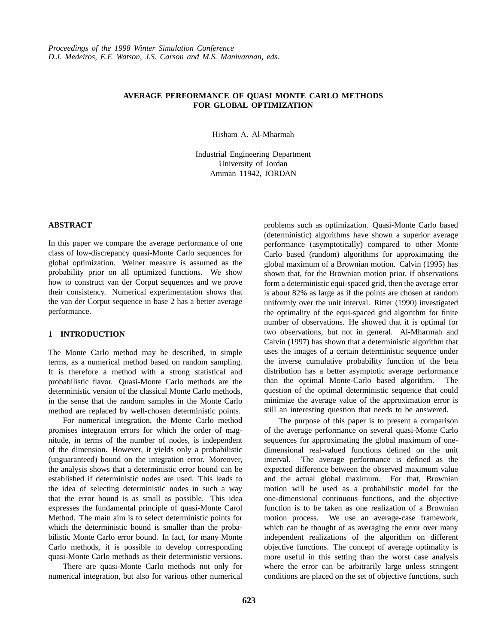# **AVERAGE PERFORMANCE OF QUASI MONTE CARLO METHODS FOR GLOBAL OPTIMIZATION**

Hisham A. Al-Mharmah

Industrial Engineering Department University of Jordan Amman 11942, JORDAN

# **ABSTRACT**

In this paper we compare the average performance of one class of low-discrepancy quasi-Monte Carlo sequences for global optimization. Weiner measure is assumed as the probability prior on all optimized functions. We show how to construct van der Corput sequences and we prove their consistency. Numerical experimentation shows that the van der Corput sequence in base 2 has a better average performance.

## **1 INTRODUCTION**

The Monte Carlo method may be described, in simple terms, as a numerical method based on random sampling. It is therefore a method with a strong statistical and probabilistic flavor. Quasi-Monte Carlo methods are the deterministic version of the classical Monte Carlo methods, in the sense that the random samples in the Monte Carlo method are replaced by well-chosen deterministic points.

For numerical integration, the Monte Carlo method promises integration errors for which the order of magnitude, in terms of the number of nodes, is independent of the dimension. However, it yields only a probabilistic (unguaranteed) bound on the integration error. Moreover, the analysis shows that a deterministic error bound can be established if deterministic nodes are used. This leads to the idea of selecting deterministic nodes in such a way that the error bound is as small as possible. This idea expresses the fundamental principle of quasi-Monte Carol Method. The main aim is to select deterministic points for which the deterministic bound is smaller than the probabilistic Monte Carlo error bound. In fact, for many Monte Carlo methods, it is possible to develop corresponding quasi-Monte Carlo methods as their deterministic versions.

There are quasi-Monte Carlo methods not only for numerical integration, but also for various other numerical

problems such as optimization. Quasi-Monte Carlo based (deterministic) algorithms have shown a superior average performance (asymptotically) compared to other Monte Carlo based (random) algorithms for approximating the global maximum of a Brownian motion. Calvin (1995) has shown that, for the Brownian motion prior, if observations form a deterministic equi-spaced grid, then the average error is about 82% as large as if the points are chosen at random uniformly over the unit interval. Ritter (1990) investigated the optimality of the equi-spaced grid algorithm for finite number of observations. He showed that it is optimal for two observations, but not in general. Al-Mharmah and Calvin (1997) has shown that a deterministic algorithm that uses the images of a certain deterministic sequence under the inverse cumulative probability function of the beta distribution has a better asymptotic average performance than the optimal Monte-Carlo based algorithm. The question of the optimal deterministic sequence that could minimize the average value of the approximation error is still an interesting question that needs to be answered.

The purpose of this paper is to present a comparison of the average performance on several quasi-Monte Carlo sequences for approximating the global maximum of onedimensional real-valued functions defined on the unit interval. The average performance is defined as the expected difference between the observed maximum value and the actual global maximum. For that, Brownian motion will be used as a probabilistic model for the one-dimensional continuous functions, and the objective function is to be taken as one realization of a Brownian motion process. We use an average-case framework, which can be thought of as averaging the error over many independent realizations of the algorithm on different objective functions. The concept of average optimality is more useful in this setting than the worst case analysis where the error can be arbitrarily large unless stringent conditions are placed on the set of objective functions, such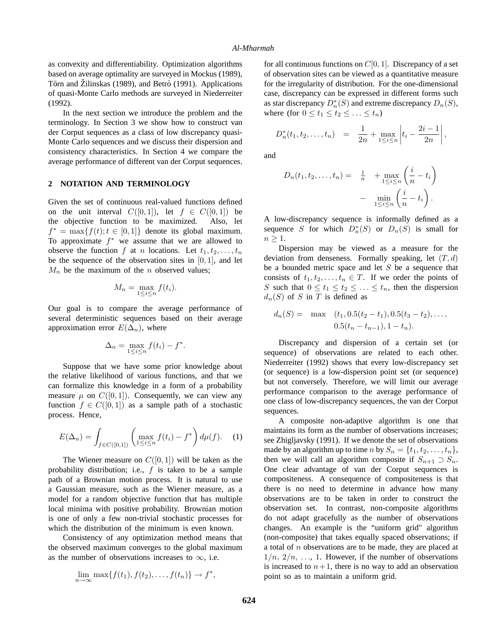as convexity and differentiability. Optimization algorithms based on average optimality are surveyed in Mockus (1989), Törn and Žilinskas (1989), and Betró (1991). Applications of quasi-Monte Carlo methods are surveyed in Niederreiter (1992).

In the next section we introduce the problem and the terminology. In Section 3 we show how to construct van der Corput sequences as a class of low discrepancy quasi-Monte Carlo sequences and we discuss their dispersion and consistency characteristics. In Section 4 we compare the average performance of different van der Corput sequences.

### **2 NOTATION AND TERMINOLOGY**

Given the set of continuous real-valued functions defined on the unit interval  $C([0, 1])$ , let  $f \in C([0, 1])$  be the objective function to be maximized. Also, let  $f^* = \max\{f(t); t \in [0,1]\}$  denote its global maximum. To approximate  $f^*$  we assume that we are allowed to observe the function f at n locations. Let  $t_1, t_2, \ldots, t_n$ be the sequence of the observation sites in  $[0, 1]$ , and let  $M_n$  be the maximum of the n observed values;

$$
M_n = \max_{1 \le i \le n} f(t_i).
$$

Our goal is to compare the average performance of several deterministic sequences based on their average approximation error  $E(\Delta_n)$ , where

$$
\Delta_n = \max_{1 \le i \le n} f(t_i) - f^*.
$$

Suppose that we have some prior knowledge about the relative likelihood of various functions, and that we can formalize this knowledge in a form of a probability measure  $\mu$  on  $C([0, 1])$ . Consequently, we can view any function  $f \in C([0, 1])$  as a sample path of a stochastic process. Hence,

$$
E(\Delta_n) = \int_{f \in C([0,1])} \left( \max_{1 \le i \le n} f(t_i) - f^* \right) d\mu(f). \tag{1}
$$

The Wiener measure on  $C([0, 1])$  will be taken as the probability distribution; i.e.,  $f$  is taken to be a sample path of a Brownian motion process. It is natural to use a Gaussian measure, such as the Wiener measure, as a model for a random objective function that has multiple local minima with positive probability. Brownian motion is one of only a few non-trivial stochastic processes for which the distribution of the minimum is even known.

Consistency of any optimization method means that the observed maximum converges to the global maximum as the number of observations increases to  $\infty$ , i.e.

$$
\lim_{n\to\infty}\max\{f(t_1),f(t_2),\ldots,f(t_n)\}\to f^*,
$$

for all continuous functions on  $C[0, 1]$ . Discrepancy of a set of observation sites can be viewed as a quantitative measure for the irregularity of distribution. For the one-dimensional case, discrepancy can be expressed in different forms such as star discrepancy  $D_n^*(S)$  and extreme discrepancy  $D_n(S)$ , where (for  $0 \le t_1 \le t_2 \le \ldots \le t_n$ )

$$
D_n^*(t_1, t_2, \ldots, t_n) = \frac{1}{2n} + \max_{1 \leq i \leq n} \left| t_i - \frac{2i - 1}{2n} \right|,
$$

and

$$
D_n(t_1, t_2, \dots, t_n) = \frac{1}{n} + \max_{1 \le i \le n} \left( \frac{i}{n} - t_i \right)
$$

$$
- \min_{1 \le i \le n} \left( \frac{i}{n} - t_i \right).
$$

A low-discrepancy sequence is informally defined as a sequence S for which  $D_n^*(S)$  or  $D_n(S)$  is small for  $n \geq 1$ .

Dispersion may be viewed as a measure for the deviation from denseness. Formally speaking, let  $(T, d)$ be a bounded metric space and let  $S$  be a sequence that consists of  $t_1, t_2, \ldots, t_n \in T$ . If we order the points of S such that  $0 \le t_1 \le t_2 \le \ldots \le t_n$ , then the dispersion  $d_n(S)$  of S in T is defined as

$$
d_n(S) = \max \quad (t_1, 0.5(t_2 - t_1), 0.5(t_3 - t_2), \dots, 0.5(t_n - t_{n-1}), 1 - t_n).
$$

Discrepancy and dispersion of a certain set (or sequence) of observations are related to each other. Niederreiter (1992) shows that every low-discrepancy set (or sequence) is a low-dispersion point set (or sequence) but not conversely. Therefore, we will limit our average performance comparison to the average performance of one class of low-discrepancy sequences, the van der Corput sequences.

A composite non-adaptive algorithm is one that maintains its form as the number of observations increases; see Zhigljavsky (1991). If we denote the set of observations made by an algorithm up to time n by  $S_n = \{t_1, t_2, \ldots, t_n\},\$ then we will call an algorithm composite if  $S_{n+1} \supset S_n$ . One clear advantage of van der Corput sequences is compositeness. A consequence of compositeness is that there is no need to determine in advance how many observations are to be taken in order to construct the observation set. In contrast, non-composite algorithms do not adapt gracefully as the number of observations changes. An example is the "uniform grid" algorithm (non-composite) that takes equally spaced observations; if a total of *n* observations are to be made, they are placed at  $1/n$ ,  $2/n$ , ..., 1. However, if the number of observations is increased to  $n+1$ , there is no way to add an observation point so as to maintain a uniform grid.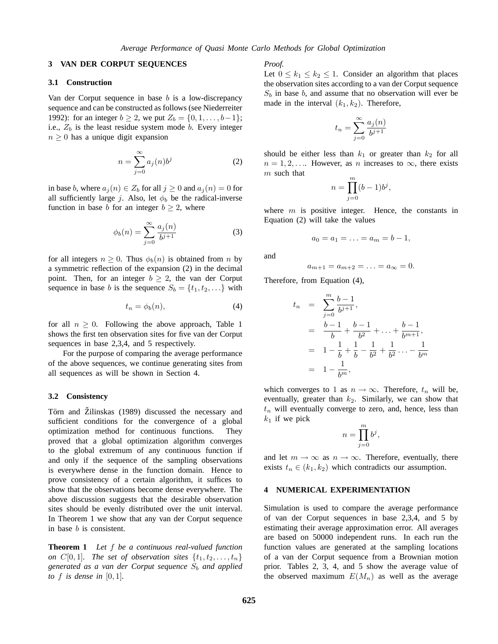# **3 VAN DER CORPUT SEQUENCES**

### **3.1 Construction**

Van der Corput sequence in base b is a low-discrepancy sequence and can be constructed as follows (see Niederreiter 1992): for an integer  $b \ge 2$ , we put  $Z_b = \{0, 1, ..., b-1\}$ ; i.e.,  $Z_b$  is the least residue system mode b. Every integer  $n \geq 0$  has a unique digit expansion

$$
n = \sum_{j=0}^{\infty} a_j(n) b^j
$$
 (2)

in base b, where  $a_j(n) \in Z_b$  for all  $j \geq 0$  and  $a_j(n) = 0$  for all sufficiently large j. Also, let  $\phi_b$  be the radical-inverse function in base b for an integer  $b \geq 2$ , where

$$
\phi_b(n) = \sum_{j=0}^{\infty} \frac{a_j(n)}{b^{j+1}} \tag{3}
$$

for all integers  $n \geq 0$ . Thus  $\phi_b(n)$  is obtained from n by a symmetric reflection of the expansion (2) in the decimal point. Then, for an integer  $b \geq 2$ , the van der Corput sequence in base b is the sequence  $S_b = \{t_1, t_2, \ldots\}$  with

$$
t_n = \phi_b(n), \tag{4}
$$

for all  $n \geq 0$ . Following the above approach, Table 1 shows the first ten observation sites for five van der Corput sequences in base 2,3,4, and 5 respectively.

For the purpose of comparing the average performance of the above sequences, we continue generating sites from all sequences as will be shown in Section 4.

### **3.2 Consistency**

Törn and Žilinskas (1989) discussed the necessary and sufficient conditions for the convergence of a global optimization method for continuous functions. They proved that a global optimization algorithm converges to the global extremum of any continuous function if and only if the sequence of the sampling observations is everywhere dense in the function domain. Hence to prove consistency of a certain algorithm, it suffices to show that the observations become dense everywhere. The above discussion suggests that the desirable observation sites should be evenly distributed over the unit interval. In Theorem 1 we show that any van der Corput sequence in base b is consistent.

**Theorem 1** *Let* f *be a continuous real-valued function on*  $C[0, 1]$ *. The set of observation sites*  $\{t_1, t_2, \ldots, t_n\}$ *generated as a van der Corput sequence*  $S_b$  *and applied to*  $f$  *is dense in*  $[0, 1]$ *.* 

#### *Proof.*

Let  $0 \leq k_1 \leq k_2 \leq 1$ . Consider an algorithm that places the observation sites according to a van der Corput sequence  $S_b$  in base b, and assume that no observation will ever be made in the interval  $(k_1, k_2)$ . Therefore,

$$
t_n = \sum_{j=0}^{\infty} \frac{a_j(n)}{b^{j+1}}
$$

should be either less than  $k_1$  or greater than  $k_2$  for all  $n = 1, 2, \ldots$  However, as n increases to  $\infty$ , there exists  $m$  such that

$$
n = \prod_{j=0}^{m} (b-1)b^j,
$$

where  $m$  is positive integer. Hence, the constants in Equation (2) will take the values

$$
a_0 = a_1 = \ldots = a_m = b - 1,
$$

and

$$
a_{m+1} = a_{m+2} = \ldots = a_{\infty} = 0.
$$

Therefore, from Equation (4),

$$
t_n = \sum_{j=0}^{m} \frac{b-1}{b^{j+1}},
$$
  
=  $\frac{b-1}{b} + \frac{b-1}{b^2} + ... + \frac{b-1}{b^{m+1}},$   
=  $1 - \frac{1}{b} + \frac{1}{b} - \frac{1}{b^2} + \frac{1}{b^2} - ... - \frac{1}{b^m}$   
=  $1 - \frac{1}{b^m},$ 

which converges to 1 as  $n \to \infty$ . Therefore,  $t_n$  will be, eventually, greater than  $k_2$ . Similarly, we can show that  $t_n$  will eventually converge to zero, and, hence, less than  $k_1$  if we pick

$$
n=\prod_{j=0}^m b^j,
$$

and let  $m \to \infty$  as  $n \to \infty$ . Therefore, eventually, there exists  $t_n \in (k_1, k_2)$  which contradicts our assumption.

#### **4 NUMERICAL EXPERIMENTATION**

Simulation is used to compare the average performance of van der Corput sequences in base 2,3,4, and 5 by estimating their average approximation error. All averages are based on 50000 independent runs. In each run the function values are generated at the sampling locations of a van der Corput sequence from a Brownian motion prior. Tables 2, 3, 4, and 5 show the average value of the observed maximum  $E(M_n)$  as well as the average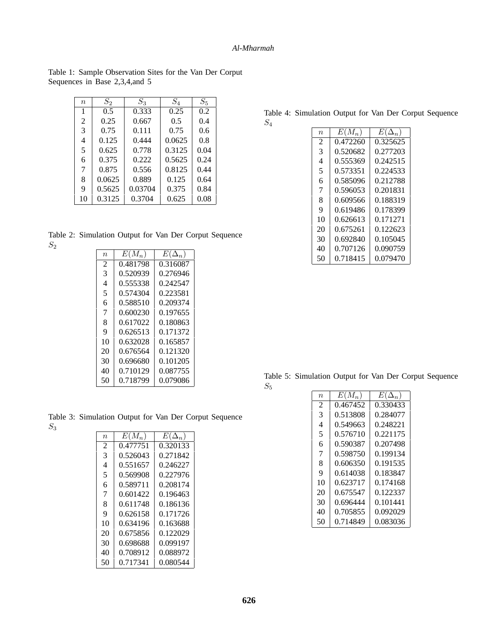| $\boldsymbol{n}$ | $S_2\,$ | $S_3$   | $S_{4}$ | $S_5$ |
|------------------|---------|---------|---------|-------|
| 1                | 0.5     | 0.333   | 0.25    | 0.2   |
| 2                | 0.25    | 0.667   | 0.5     | 0.4   |
| 3                | 0.75    | 0.111   | 0.75    | 0.6   |
| 4                | 0.125   | 0.444   | 0.0625  | 0.8   |
| 5                | 0.625   | 0.778   | 0.3125  | 0.04  |
| 6                | 0.375   | 0.222   | 0.5625  | 0.24  |
| 7                | 0.875   | 0.556   | 0.8125  | 0.44  |
| 8                | 0.0625  | 0.889   | 0.125   | 0.64  |
| 9                | 0.5625  | 0.03704 | 0.375   | 0.84  |
| 10               | 0.3125  | 0.3704  | 0.625   | 0.08  |

Table 1: Sample Observation Sites for the Van Der Corput Sequences in Base 2,3,4,and 5

Table 2: Simulation Output for Van Der Corput Sequence

 $\mathcal{S}_2$ 

| $\eta$ | $E(M_n)$ | $E(\Delta_n)$ |
|--------|----------|---------------|
| 2      | 0.481798 | 0.316087      |
| 3      | 0.520939 | 0.276946      |
| 4      | 0.555338 | 0.242547      |
| 5      | 0.574304 | 0.223581      |
| 6      | 0.588510 | 0.209374      |
| 7      | 0.600230 | 0.197655      |
| 8      | 0.617022 | 0.180863      |
| 9      | 0.626513 | 0.171372      |
| 10     | 0.632028 | 0.165857      |
| 20     | 0.676564 | 0.121320      |
| 30     | 0.696680 | 0.101205      |
| 40     | 0.710129 | 0.087755      |
| 50     | 0.718799 | 0.079086      |

Table 3: Simulation Output for Van Der Corput Sequence

| I<br>I<br>I<br>۰, | I<br>۰,<br>M |
|-------------------|--------------|
|                   |              |

| n              | $E(M_n)$ | $E(\Delta_n)$ |
|----------------|----------|---------------|
| $\mathfrak{D}$ | 0.477751 | 0.320133      |
| 3              | 0.526043 | 0.271842      |
| 4              | 0.551657 | 0.246227      |
| 5              | 0.569908 | 0.227976      |
| 6              | 0.589711 | 0.208174      |
| 7              | 0.601422 | 0.196463      |
| 8              | 0.611748 | 0.186136      |
| 9              | 0.626158 | 0.171726      |
| 10             | 0.634196 | 0.163688      |
| 20             | 0.675856 | 0.122029      |
| 30             | 0.698688 | 0.099197      |
| 40             | 0.708912 | 0.088972      |
| 50             | 0.717341 | 0.080544      |

Table 4: Simulation Output for Van Der Corput Sequence  $S_4$ 

| $\it{n}$ | $E(M_n)$ | $E(\Delta_n)$ |
|----------|----------|---------------|
| 2        | 0.472260 | 0.325625      |
| 3        | 0.520682 | 0.277203      |
| 4        | 0.555369 | 0.242515      |
| 5        | 0.573351 | 0.224533      |
| 6        | 0.585096 | 0.212788      |
| 7        | 0.596053 | 0.201831      |
| 8        | 0.609566 | 0.188319      |
| 9        | 0.619486 | 0.178399      |
| 10       | 0.626613 | 0.171271      |
| 20       | 0.675261 | 0.122623      |
| 30       | 0.692840 | 0.105045      |
| 40       | 0.707126 | 0.090759      |
| 50       | 0.718415 | 0.079470      |

Table 5: Simulation Output for Van Der Corput Sequence  $S_5$ 

| $\it{n}$       | $E(M_n)$ | $E(\Delta_n)$ |
|----------------|----------|---------------|
| $\mathfrak{2}$ | 0.467452 | 0.330433      |
| 3              | 0.513808 | 0.284077      |
| 4              | 0.549663 | 0.248221      |
| 5              | 0.576710 | 0.221175      |
| 6              | 0.590387 | 0.207498      |
| 7              | 0.598750 | 0.199134      |
| 8              | 0.606350 | 0.191535      |
| 9              | 0.614038 | 0.183847      |
| 10             | 0.623717 | 0.174168      |
| 20             | 0.675547 | 0.122337      |
| 30             | 0.696444 | 0.101441      |
| 40             | 0.705855 | 0.092029      |
| 50             | 0.714849 | 0.083036      |